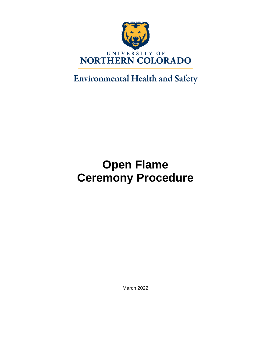

## **Environmental Health and Safety**

# **Open Flame Ceremony Procedure**

March 2022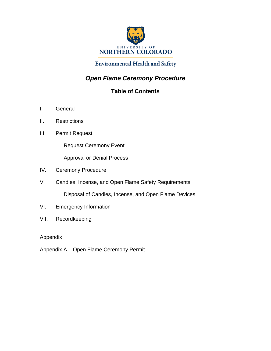

### **Environmental Health and Safety**

## *Open Flame Ceremony Procedure*

## **Table of Contents**

- I. General
- II. Restrictions
- III. Permit Request

Request Ceremony Event

Approval or Denial Process

- IV. Ceremony Procedure
- V. Candles, Incense, and Open Flame Safety Requirements

Disposal of Candles, Incense, and Open Flame Devices

- VI. Emergency Information
- VII. Recordkeeping

#### **Appendix**

Appendix A – Open Flame Ceremony Permit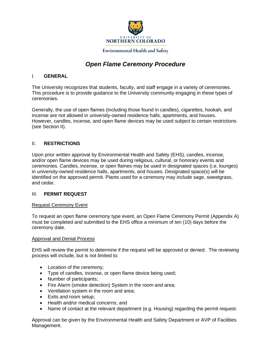

## *Open Flame Ceremony Procedure*

#### I. **GENERAL**

The University recognizes that students, faculty, and staff engage in a variety of ceremonies. This procedure is to provide guidance to the University community engaging in these types of ceremonies.

Generally, the use of open flames (including those found in candles), cigarettes, hookah, and incense are not allowed in university-owned residence halls, apartments, and houses. However, candles, incense, and open flame devices may be used subject to certain restrictions (see Section II).

#### II. **RESTRICTIONS**

Upon prior written approval by Environmental Health and Safety (EHS), candles, incense, and/or open flame devices may be used during religious, cultural, or honorary events and ceremonies. Candles, incense, or open flames may be used in designated spaces (i.e. lounges) in university-owned residence halls, apartments, and houses. Designated space(s) will be identified on the approved permit. Plants used for a ceremony may include sage, sweetgrass, and cedar.

#### III. **PERMIT REQUEST**

#### Request Ceremony Event

To request an open flame ceremony type event, an Open Flame Ceremony Permit (Appendix A) must be completed and submitted to the EHS office a minimum of ten (10) days before the ceremony date.

#### Approval and Denial Process

EHS will review the permit to determine if the request will be approved or denied. The reviewing process will include, but is not limited to:

- Location of the ceremony;
- Type of candles, incense, or open flame device being used;
- Number of participants;
- Fire Alarm (smoke detection) System in the room and area;
- Ventilation system in the room and area;
- Exits and room setup;
- Health and/or medical concerns; and
- Name of contact at the relevant department (e.g. Housing) regarding the permit request.

Approval can be given by the Environmental Health and Safety Department or AVP of Facilities Management.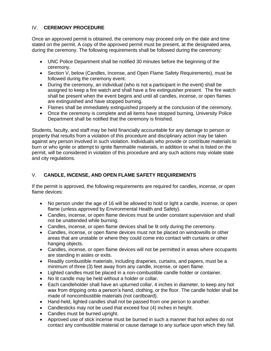#### IV. **CEREMONY PROCEDURE**

Once an approved permit is obtained, the ceremony may proceed only on the date and time stated on the permit. A copy of the approved permit must be present, at the designated area, during the ceremony. The following requirements shall be followed during the ceremony:

- UNC Police Department shall be notified 30 minutes before the beginning of the ceremony.
- Section V, below (Candles, Incense, and Open Flame Safety Requirements), must be followed during the ceremony event.
- During the ceremony, an individual (who is not a participant in the event) shall be assigned to keep a fire watch and shall have a fire extinguisher present. The fire watch shall be present when the event begins and until all candles, incense, or open flames are extinguished and have stopped burning.
- Flames shall be immediately extinguished properly at the conclusion of the ceremony.
- Once the ceremony is complete and all items have stopped burning. University Police Department shall be notified that the ceremony is finished.

Students, faculty, and staff may be held financially accountable for any damage to person or property that results from a violation of this procedure and disciplinary action may be taken against any person involved in such violation. Individuals who provide or contribute materials to burn or who ignite or attempt to ignite flammable materials, in addition to what is listed on the permit, will be considered in violation of this procedure and any such actions may violate state and city regulations.

#### V. **CANDLE, INCENSE, AND OPEN FLAME SAFETY REQUIREMENTS**

If the permit is approved, the following requirements are required for candles, incense, or open flame devices:

- No person under the age of 16 will be allowed to hold or light a candle, incense, or open flame (unless approved by Environmental Health and Safety).
- Candles, incense, or open flame devices must be under constant supervision and shall not be unattended while burning.
- Candles, incense, or open flame devices shall be lit only during the ceremony.
- Candles, incense, or open flame devices must not be placed on windowsills or other areas that are unstable or where they could come into contact with curtains or other hanging objects.
- Candles, incense, or open flame devices will not be permitted in areas where occupants are standing in aisles or exits.
- Readily combustible materials, including draperies, curtains, and papers, must be a minimum of three (3) feet away from any candle, incense, or open flame.
- Lighted candles must be placed in a non-combustible candle holder or container.
- No lit candle may be held without a holder or collar.
- Each candleholder shall have an upturned collar, 4 inches in diameter, to keep any hot wax from dripping onto a person's hand, clothing, or the floor. The candle holder shall be made of noncombustible materials (not cardboard).
- Hand-held, lighted candles shall not be passed from one person to another.
- Candlesticks may not be used that exceed four (4) inches in height.
- Candles must be burned upright.
- Approved use of stick incense must be burned in such a manner that hot ashes do not contact any combustible material or cause damage to any surface upon which they fall.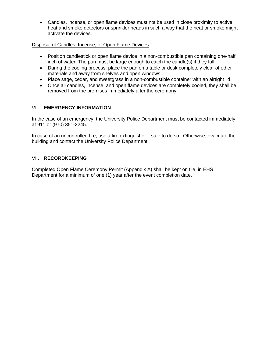• Candles, incense, or open flame devices must not be used in close proximity to active heat and smoke detectors or sprinkler heads in such a way that the heat or smoke might activate the devices.

#### Disposal of Candles, Incense, or Open Flame Devices

- Position candlestick or open flame device in a non-combustible pan containing one-half inch of water. The pan must be large enough to catch the candle(s) if they fall.
- During the cooling process, place the pan on a table or desk completely clear of other materials and away from shelves and open windows.
- Place sage, cedar, and sweetgrass in a non-combustible container with an airtight lid.
- Once all candles, incense, and open flame devices are completely cooled, they shall be removed from the premises immediately after the ceremony.

#### VI. **EMERGENCY INFORMATION**

In the case of an emergency, the University Police Department must be contacted immediately at 911 or (970) 351-2245.

In case of an uncontrolled fire, use a fire extinguisher if safe to do so. Otherwise, evacuate the building and contact the University Police Department.

#### VII. **RECORDKEEPING**

Completed Open Flame Ceremony Permit (Appendix A) shall be kept on file, in EHS Department for a minimum of one (1) year after the event completion date.